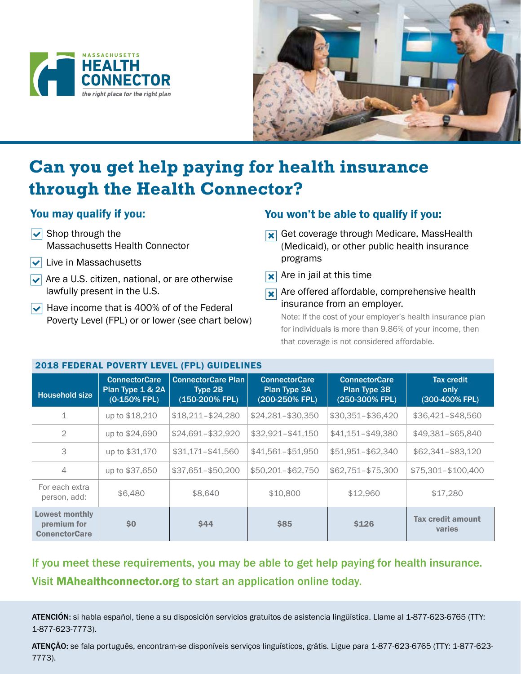



# **Can you get help paying for health insurance through the Health Connector?**

## You may qualify if you:

- $\triangledown$  Shop through the Massachusetts Health Connector
- $\triangledown$  Live in Massachusetts
- $\blacktriangleright$  Are a U.S. citizen, national, or are otherwise lawfully present in the U.S.
- $|\mathbf{v}|$  Have income that is 400% of of the Federal Poverty Level (FPL) or or lower (see chart below)

## You won't be able to qualify if you:

- **R** Get coverage through Medicare, MassHealth (Medicaid), or other public health insurance programs
- $\overline{\mathbf{x}}$  Are in jail at this time
- **X** Are offered affordable, comprehensive health insurance from an employer.

Note: If the cost of your employer's health insurance plan for individuals is more than 9.86% of your income, then that coverage is not considered affordable.

| 2018 FEDERAL POVERTY LEVEL (FPL) GUIDELINES                  |                                                             |                                                        |                                                        |                                                               |                                             |
|--------------------------------------------------------------|-------------------------------------------------------------|--------------------------------------------------------|--------------------------------------------------------|---------------------------------------------------------------|---------------------------------------------|
| <b>Household size</b>                                        | <b>ConnectorCare</b><br>Plan Type 1 & 2A<br>$(0-150\%$ FPL) | <b>ConnectorCare Plan</b><br>Type 2B<br>(150-200% FPL) | <b>ConnectorCare</b><br>Plan Type 3A<br>(200-250% FPL) | <b>ConnectorCare</b><br><b>Plan Type 3B</b><br>(250-300% FPL) | <b>Tax credit</b><br>only<br>(300-400% FPL) |
| 1                                                            | up to \$18,210                                              | $$18,211 - $24,280$                                    | $$24,281 - $30,350$                                    | \$30,351-\$36,420                                             | \$36,421-\$48,560                           |
| $\overline{2}$                                               | up to \$24,690                                              | \$24,691-\$32,920                                      | $$32.921 - $41.150$                                    | \$41,151-\$49,380                                             | \$49,381-\$65,840                           |
| 3                                                            | up to \$31,170                                              | \$31,171-\$41,560                                      | \$41,561-\$51,950                                      | \$51,951-\$62,340                                             | \$62,341-\$83,120                           |
| 4                                                            | up to \$37,650                                              | \$37,651-\$50,200                                      | \$50,201-\$62,750                                      | \$62,751-\$75,300                                             | \$75,301-\$100,400                          |
| For each extra<br>person, add:                               | \$6,480                                                     | \$8,640                                                | \$10,800                                               | \$12,960                                                      | \$17,280                                    |
| <b>Lowest monthly</b><br>premium for<br><b>ConenctorCare</b> | \$0                                                         | <b>\$44</b>                                            | \$85                                                   | <b>\$126</b>                                                  | <b>Tax credit amount</b><br>varies          |

## If you meet these requirements, you may be able to get help paying for health insurance. Visit MAhealthconnector.org to start an application online today.

ATENCIÓN: si habla español, tiene a su disposición servicios gratuitos de asistencia lingüística. Llame al 1-877-623-6765 (TTY: 1-877-623-7773).

ATENÇÃO: se fala português, encontram-se disponíveis serviços linguísticos, grátis. Ligue para 1-877-623-6765 (TTY: 1-877-623- 7773).

### 2018 FEDERAL POVERTY LEVEL (FPL) GUIDELINES